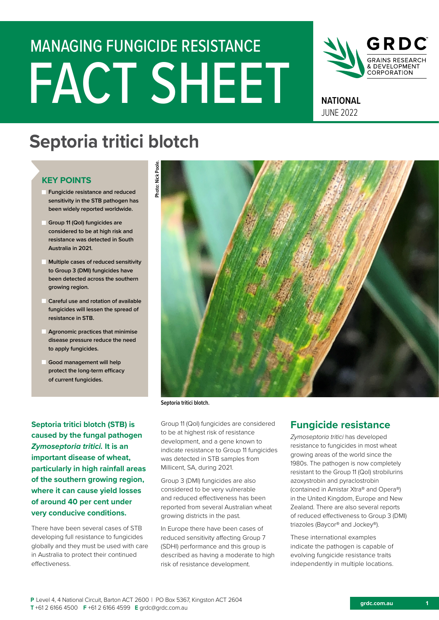# FACT SHEET MANAGING FUNGICIDE RESISTANCE



**NATIONAL** JUNE 2022

# **Septoria tritici blotch**

# **KEY POINTS**

- **Fungicide resistance and reduced sensitivity in the STB pathogen has been widely reported worldwide.**
- **Group 11 (QoI) fungicides are considered to be at high risk and resistance was detected in South Australia in 2021.**
- **Multiple cases of reduced sensitivity to Group 3 (DMI) fungicides have been detected across the southern growing region.**
- **Careful use and rotation of available fungicides will lessen the spread of resistance in STB.**
- **Agronomic practices that minimise disease pressure reduce the need to apply fungicides.**
- **Good management will help protect the long-term efficacy of current fungicides.**

**Septoria tritici blotch (STB) is caused by the fungal pathogen**  *Zymoseptoria tritici.* **It is an important disease of wheat, particularly in high rainfall areas of the southern growing region, where it can cause yield losses of around 40 per cent under very conducive conditions.** 

There have been several cases of STB developing full resistance to fungicides globally and they must be used with care in Australia to protect their continued effectiveness.



**Septoria tritici blotch.**

Group 11 (QoI) fungicides are considered to be at highest risk of resistance development, and a gene known to indicate resistance to Group 11 fungicides was detected in STB samples from Millicent, SA, during 2021.

Group 3 (DMI) fungicides are also considered to be very vulnerable and reduced effectiveness has been reported from several Australian wheat growing districts in the past.

In Europe there have been cases of reduced sensitivity affecting Group 7 (SDHI) performance and this group is described as having a moderate to high risk of resistance development.

# **Fungicide resistance**

*Zymoseptoria tritici* has developed resistance to fungicides in most wheat growing areas of the world since the 1980s. The pathogen is now completely resistant to the Group 11 (QoI) strobilurins azoxystrobin and pyraclostrobin (contained in Amistar Xtra® and Opera®) in the United Kingdom, Europe and New Zealand. There are also several reports of reduced effectiveness to Group 3 (DMI) triazoles (Baycor® and Jockey®).

These international examples indicate the pathogen is capable of evolving fungicide resistance traits independently in multiple locations.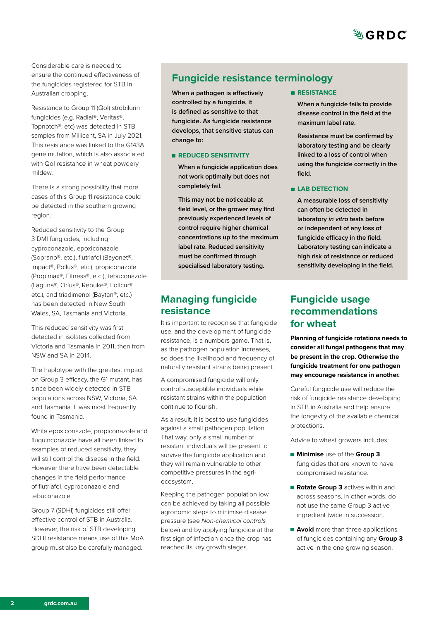

Considerable care is needed to ensure the continued effectiveness of the fungicides registered for STB in Australian cropping.

Resistance to Group 11 (QoI) strobilurin fungicides (e.g. Radial®, Veritas®, Topnotch®, etc) was detected in STB samples from Millicent, SA in July 2021. This resistance was linked to the G143A gene mutation, which is also associated with QoI resistance in wheat powdery mildew.

There is a strong possibility that more cases of this Group 11 resistance could be detected in the southern growing region.

Reduced sensitivity to the Group 3 DMI fungicides, including cyproconazole, epoxiconazole (Soprano®, etc.), flutriafol (Bayonet®, Impact®, Pollux®, etc.), propiconazole (Propimax®, Fitness®, etc.), tebuconazole (Laguna®, Orius®, Rebuke®, Folicur® etc.), and triadimenol (Baytan®, etc.) has been detected in New South Wales, SA, Tasmania and Victoria.

This reduced sensitivity was first detected in isolates collected from Victoria and Tasmania in 2011, then from NSW and SA in 2014.

The haplotype with the greatest impact on Group 3 efficacy, the G1 mutant, has since been widely detected in STB populations across NSW, Victoria, SA and Tasmania. It was most frequently found in Tasmania.

While epoxiconazole, propiconazole and fluquinconazole have all been linked to examples of reduced sensitivity, they will still control the disease in the field. However there have been detectable changes in the field performance of flutriafol, cyproconazole and tebuconazole.

Group 7 (SDHI) fungicides still offer effective control of STB in Australia. However, the risk of STB developing SDHI resistance means use of this MoA group must also be carefully managed.

# **Fungicide resistance terminology**

**When a pathogen is effectively controlled by a fungicide, it is defined as sensitive to that fungicide. As fungicide resistance develops, that sensitive status can change to:**

#### **REDUCED SENSITIVITY**

**When a fungicide application does not work optimally but does not completely fail.** 

**This may not be noticeable at field level, or the grower may find previously experienced levels of control require higher chemical concentrations up to the maximum label rate. Reduced sensitivity must be confirmed through specialised laboratory testing.**

# **Managing fungicide resistance**

It is important to recognise that fungicide use, and the development of fungicide resistance, is a numbers game. That is, as the pathogen population increases, so does the likelihood and frequency of naturally resistant strains being present.

A compromised fungicide will only control susceptible individuals while resistant strains within the population continue to flourish.

As a result, it is best to use fungicides against a small pathogen population. That way, only a small number of resistant individuals will be present to survive the fungicide application and they will remain vulnerable to other competitive pressures in the agriecosystem.

Keeping the pathogen population low can be achieved by taking all possible agronomic steps to minimise disease pressure (see *Non-chemical controls* below) and by applying fungicide at the first sign of infection once the crop has reached its key growth stages.

**RESISTANCE** 

**When a fungicide fails to provide disease control in the field at the maximum label rate.** 

**Resistance must be confirmed by laboratory testing and be clearly linked to a loss of control when using the fungicide correctly in the field.**

#### **LAB DETECTION**

**A measurable loss of sensitivity can often be detected in laboratory** *in vitro* **tests before or independent of any loss of fungicide efficacy in the field. Laboratory testing can indicate a high risk of resistance or reduced sensitivity developing in the field.** 

# **Fungicide usage recommendations for wheat**

**Planning of fungicide rotations needs to consider all fungal pathogens that may be present in the crop. Otherwise the fungicide treatment for one pathogen may encourage resistance in another.** 

Careful fungicide use will reduce the risk of fungicide resistance developing in STB in Australia and help ensure the longevity of the available chemical protections.

Advice to wheat growers includes:

- **Minimise** use of the **Group 3**  fungicides that are known to have compromised resistance.
- **Rotate Group 3** actives within and across seasons. In other words, do not use the same Group 3 active ingredient twice in succession.
- **Avoid** more than three applications of fungicides containing any **Group 3** active in the one growing season.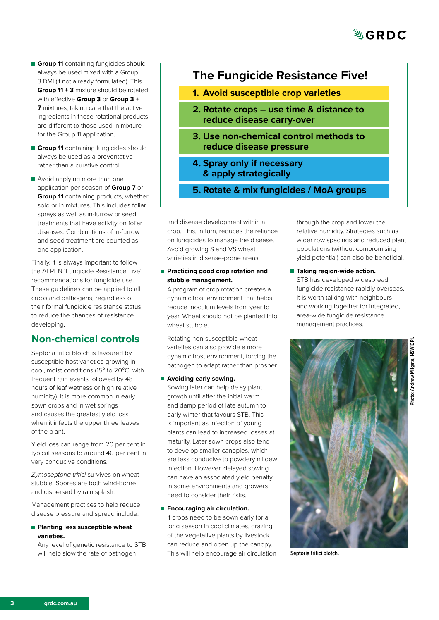- **Group 11** containing fungicides should always be used mixed with a Group 3 DMI (if not already formulated). This **Group 11 + 3** mixture should be rotated with effective **Group 3** or **Group 3 + 7** mixtures, taking care that the active ingredients in these rotational products are different to those used in mixture for the Group 11 application.
- **Group 11** containing fungicides should always be used as a preventative rather than a curative control.
- Avoid applying more than one application per season of **Group 7** or **Group 11** containing products, whether solo or in mixtures. This includes foliar sprays as well as in-furrow or seed treatments that have activity on foliar diseases. Combinations of in-furrow and seed treatment are counted as one application.

Finally, it is always important to follow the AFREN 'Fungicide Resistance Five' recommendations for fungicide use. These guidelines can be applied to all crops and pathogens, regardless of their formal fungicide resistance status, to reduce the chances of resistance developing.

# **Non-chemical controls**

Septoria tritici blotch is favoured by susceptible host varieties growing in cool, moist conditions (15° to 20°C, with frequent rain events followed by 48 hours of leaf wetness or high relative humidity). It is more common in early sown crops and in wet springs and causes the greatest yield loss when it infects the upper three leaves of the plant.

Yield loss can range from 20 per cent in typical seasons to around 40 per cent in very conducive conditions.

*Zymoseptoria tritici* survives on wheat stubble. Spores are both wind-borne and dispersed by rain splash.

Management practices to help reduce disease pressure and spread include:

**Planting less susceptible wheat varieties.** 

Any level of genetic resistance to STB will help slow the rate of pathogen

# **The Fungicide Resistance Five!**

- **1. Avoid susceptible crop varieties**
- **2. Rotate crops use time & distance to reduce disease carry-over**
- **3. Use non-chemical control methods to reduce disease pressure**
- **4. Spray only if necessary & apply strategically**
- **5. Rotate & mix fungicides / MoA groups**

and disease development within a crop. This, in turn, reduces the reliance on fungicides to manage the disease. Avoid growing S and VS wheat varieties in disease-prone areas.

**Practicing good crop rotation and stubble management.**

A program of crop rotation creates a dynamic host environment that helps reduce inoculum levels from year to year. Wheat should not be planted into wheat stubble.

Rotating non-susceptible wheat varieties can also provide a more dynamic host environment, forcing the pathogen to adapt rather than prosper.

#### **Avoiding early sowing.**

Sowing later can help delay plant growth until after the initial warm and damp period of late autumn to early winter that favours STB. This is important as infection of young plants can lead to increased losses at maturity. Later sown crops also tend to develop smaller canopies, which are less conducive to powdery mildew infection. However, delayed sowing can have an associated yield penalty in some environments and growers need to consider their risks.

#### **Encouraging air circulation.**

If crops need to be sown early for a long season in cool climates, grazing of the vegetative plants by livestock can reduce and open up the canopy. This will help encourage air circulation through the crop and lower the relative humidity. Strategies such as wider row spacings and reduced plant populations (without compromising yield potential) can also be beneficial.

**Taking region-wide action.** STB has developed widespread fungicide resistance rapidly overseas. It is worth talking with neighbours and working together for integrated, area-wide fungicide resistance management practices.



**Septoria tritici blotch.**